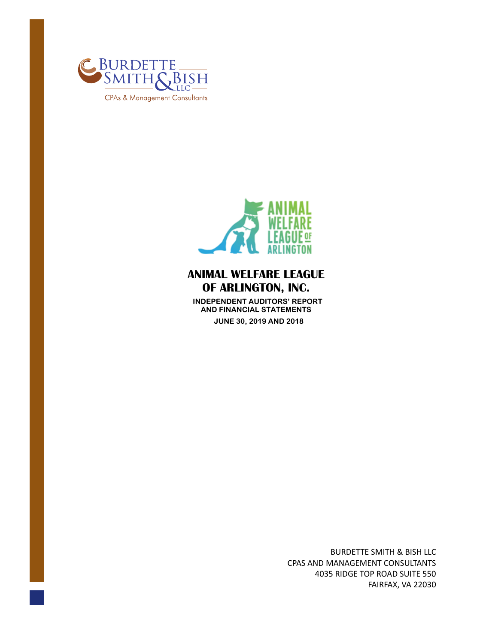



 **INDEPENDENT AUDITORS' REPORT AND FINANCIAL STATEMENTS JUNE 30, 2019 AND 2018** 

> BURDETTE SMITH & BISH LLC CPAS AND MANAGEMENT CONSULTANTS 4035 RIDGE TOP ROAD SUITE 550 FAIRFAX, VA 22030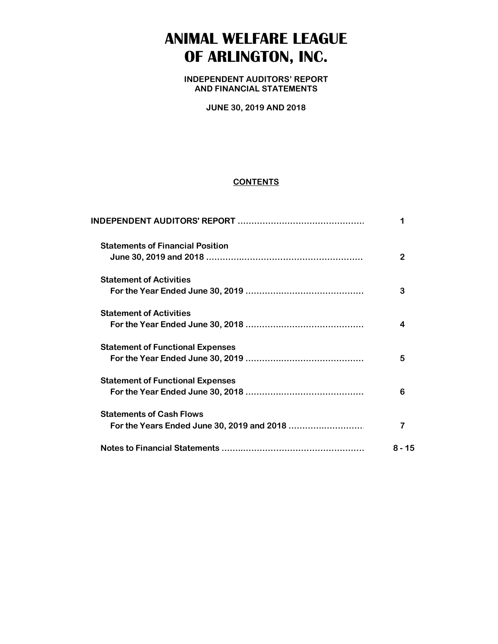**INDEPENDENT AUDITORS' REPORT AND FINANCIAL STATEMENTS**

**JUNE 30, 2019 AND 2018**

#### **CONTENTS**

| <b>Statements of Financial Position</b> | 2      |
|-----------------------------------------|--------|
| <b>Statement of Activities</b>          | 3      |
| <b>Statement of Activities</b>          |        |
| <b>Statement of Functional Expenses</b> | 5      |
| <b>Statement of Functional Expenses</b> | 6      |
| <b>Statements of Cash Flows</b>         |        |
|                                         | 8 - 15 |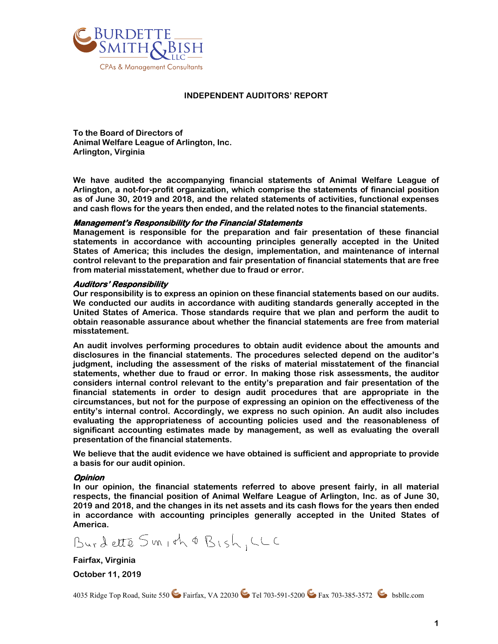

#### **INDEPENDENT AUDITORS' REPORT**

**To the Board of Directors of Animal Welfare League of Arlington, Inc. Arlington, Virginia** 

**We have audited the accompanying financial statements of Animal Welfare League of Arlington, a not-for-profit organization, which comprise the statements of financial position as of June 30, 2019 and 2018, and the related statements of activities, functional expenses and cash flows for the years then ended, and the related notes to the financial statements.** 

#### **Management's Responsibility for the Financial Statements**

**Management is responsible for the preparation and fair presentation of these financial statements in accordance with accounting principles generally accepted in the United States of America; this includes the design, implementation, and maintenance of internal control relevant to the preparation and fair presentation of financial statements that are free from material misstatement, whether due to fraud or error.** 

#### **Auditors' Responsibility**

**Our responsibility is to express an opinion on these financial statements based on our audits. We conducted our audits in accordance with auditing standards generally accepted in the United States of America. Those standards require that we plan and perform the audit to obtain reasonable assurance about whether the financial statements are free from material misstatement.** 

**An audit involves performing procedures to obtain audit evidence about the amounts and disclosures in the financial statements. The procedures selected depend on the auditor's judgment, including the assessment of the risks of material misstatement of the financial statements, whether due to fraud or error. In making those risk assessments, the auditor considers internal control relevant to the entity's preparation and fair presentation of the financial statements in order to design audit procedures that are appropriate in the circumstances, but not for the purpose of expressing an opinion on the effectiveness of the entity's internal control. Accordingly, we express no such opinion. An audit also includes evaluating the appropriateness of accounting policies used and the reasonableness of significant accounting estimates made by management, as well as evaluating the overall presentation of the financial statements.** 

**We believe that the audit evidence we have obtained is sufficient and appropriate to provide a basis for our audit opinion.** 

#### **Opinion**

**In our opinion, the financial statements referred to above present fairly, in all material respects, the financial position of Animal Welfare League of Arlington, Inc. as of June 30, 2019 and 2018, and the changes in its net assets and its cash flows for the years then ended in accordance with accounting principles generally accepted in the United States of America.** 

Burdette Smith & Bish, LLC

**Fairfax, Virginia** 

**October 11, 2019** 

4035 Ridge Top Road, Suite 550 Fairfax, VA 22030 Fel 703-591-5200 Fax 703-385-3572 bsbllc.com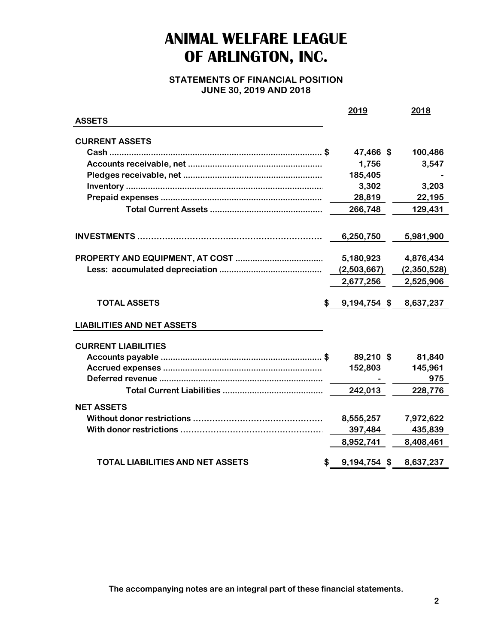**STATEMENTS OF FINANCIAL POSITION JUNE 30, 2019 AND 2018**

|                                         | 2019               | 2018        |
|-----------------------------------------|--------------------|-------------|
| <b>ASSETS</b>                           |                    |             |
| <b>CURRENT ASSETS</b>                   |                    |             |
|                                         | 47,466 \$          | 100,486     |
|                                         | 1,756              | 3,547       |
|                                         | 185,405            |             |
|                                         | 3,302              | 3,203       |
|                                         | 28,819             | 22,195      |
|                                         | 266,748            | 129,431     |
|                                         |                    |             |
|                                         | 6,250,750          | 5,981,900   |
|                                         |                    |             |
|                                         | 5,180,923          | 4,876,434   |
|                                         | (2,503,667)        | (2,350,528) |
|                                         | 2,677,256          | 2,525,906   |
| <b>TOTAL ASSETS</b>                     | 9,194,754 \$<br>\$ | 8,637,237   |
| <b>LIABILITIES AND NET ASSETS</b>       |                    |             |
| <b>CURRENT LIABILITIES</b>              |                    |             |
|                                         | 89,210 \$          | 81,840      |
|                                         | 152,803            | 145,961     |
|                                         |                    | 975         |
|                                         | 242,013            | 228,776     |
| <b>NET ASSETS</b>                       |                    |             |
|                                         | 8,555,257          | 7,972,622   |
|                                         | 397,484            | 435,839     |
|                                         | 8,952,741          | 8,408,461   |
|                                         |                    |             |
| <b>TOTAL LIABILITIES AND NET ASSETS</b> | 9,194,754 \$<br>\$ | 8,637,237   |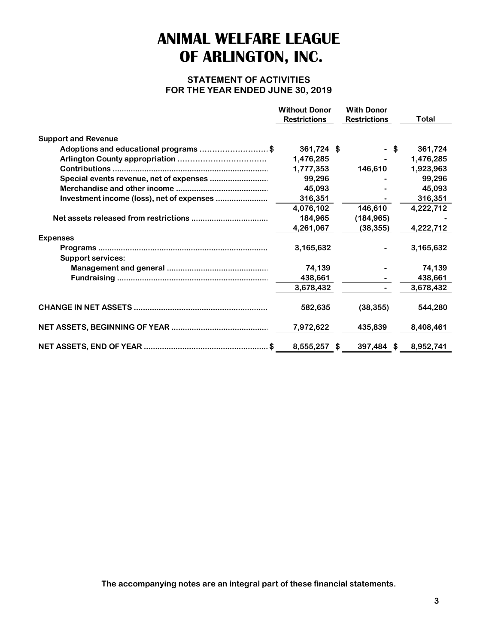### **STATEMENT OF ACTIVITIES FOR THE YEAR ENDED JUNE 30, 2019**

|                                           | <b>Without Donor</b><br><b>Restrictions</b> | <b>With Donor</b><br><b>Restrictions</b> | Total     |
|-------------------------------------------|---------------------------------------------|------------------------------------------|-----------|
| <b>Support and Revenue</b>                |                                             |                                          |           |
| Adoptions and educational programs \$     | 361,724 \$                                  | - \$                                     | 361,724   |
|                                           | 1,476,285                                   |                                          | 1,476,285 |
|                                           | 1,777,353                                   | 146,610                                  | 1,923,963 |
| Special events revenue, net of expenses   | 99,296                                      |                                          | 99,296    |
|                                           | 45,093                                      |                                          | 45,093    |
| Investment income (loss), net of expenses | 316,351                                     |                                          | 316,351   |
|                                           | 4,076,102                                   | 146,610                                  | 4,222,712 |
|                                           | 184,965                                     | (184,965)                                |           |
|                                           | 4,261,067                                   | (38, 355)                                | 4,222,712 |
| <b>Expenses</b>                           |                                             |                                          |           |
|                                           | 3,165,632                                   |                                          | 3,165,632 |
| <b>Support services:</b>                  |                                             |                                          |           |
|                                           | 74,139                                      |                                          | 74,139    |
|                                           | 438,661                                     |                                          | 438,661   |
|                                           | 3,678,432                                   |                                          | 3,678,432 |
|                                           | 582,635                                     | (38, 355)                                | 544,280   |
|                                           | 7,972,622                                   | 435,839                                  | 8,408,461 |
|                                           | 8,555,257 \$                                | 397,484 \$                               | 8,952,741 |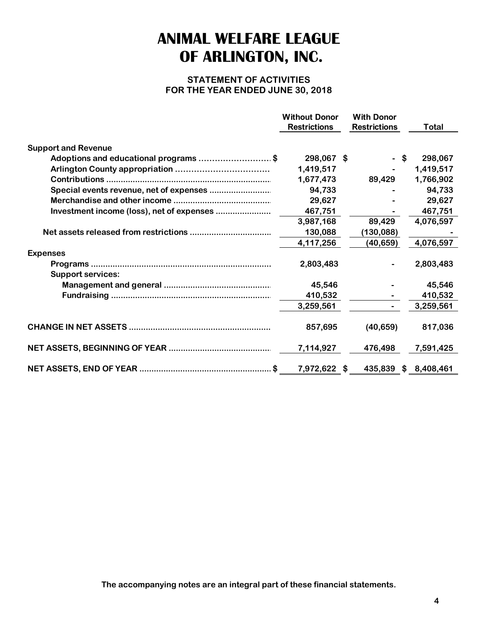### **STATEMENT OF ACTIVITIES FOR THE YEAR ENDED JUNE 30, 2018**

|                                           | <b>Without Donor</b><br><b>Restrictions</b> | <b>With Donor</b><br><b>Restrictions</b> | <b>Total</b> |
|-------------------------------------------|---------------------------------------------|------------------------------------------|--------------|
| <b>Support and Revenue</b>                |                                             |                                          |              |
| Adoptions and educational programs \$     | 298,067 \$                                  | - \$                                     | 298,067      |
|                                           | 1,419,517                                   |                                          | 1,419,517    |
|                                           | 1,677,473                                   | 89,429                                   | 1,766,902    |
|                                           | 94,733                                      |                                          | 94,733       |
|                                           | 29,627                                      |                                          | 29,627       |
| Investment income (loss), net of expenses | 467,751                                     |                                          | 467,751      |
|                                           | 3,987,168                                   | 89,429                                   | 4,076,597    |
|                                           | 130,088                                     | (130,088)                                |              |
|                                           | 4,117,256                                   | (40, 659)                                | 4,076,597    |
| <b>Expenses</b>                           |                                             |                                          |              |
|                                           | 2,803,483                                   |                                          | 2,803,483    |
| <b>Support services:</b>                  |                                             |                                          |              |
|                                           | 45,546                                      |                                          | 45,546       |
|                                           | 410,532                                     |                                          | 410,532      |
|                                           | 3,259,561                                   |                                          | 3,259,561    |
|                                           | 857,695                                     | (40, 659)                                | 817,036      |
|                                           | 7,114,927                                   | 476,498                                  | 7,591,425    |
|                                           | 7,972,622 \$                                | 435,839                                  | \$8,408,461  |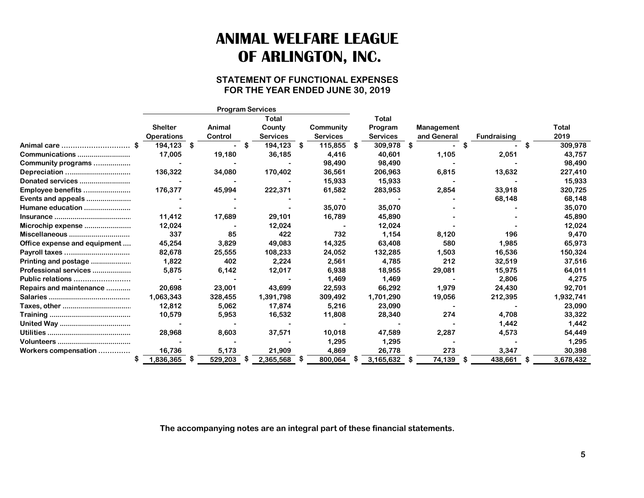### **STATEMENT OF FUNCTIONAL EXPENSES FOR THE YEAR ENDED JUNE 30, 2019**

|                              |                   |                 | <b>Program Services</b> |                 |                 |                   |                    |                |
|------------------------------|-------------------|-----------------|-------------------------|-----------------|-----------------|-------------------|--------------------|----------------|
|                              |                   |                 | Total                   |                 | Total           |                   |                    |                |
|                              | <b>Shelter</b>    | Animal          | County                  | Community       | Program         | <b>Management</b> |                    | Total          |
|                              | <b>Operations</b> | Control         | <b>Services</b>         | <b>Services</b> | <b>Services</b> | and General       | <b>Fundraising</b> | 2019           |
| Animal care                  | 194.123           | - \$            | 194,123<br>S            | 115.855<br>S    | 309,978<br>- \$ | \$                |                    | 309,978<br>S   |
| Communications               | 17,005            | 19,180          | 36,185                  | 4,416           | 40,601          | 1,105             | 2,051              | 43,757         |
| Community programs           |                   |                 |                         | 98,490          | 98,490          |                   |                    | 98,490         |
| Depreciation                 | 136,322           | 34,080          | 170,402                 | 36,561          | 206,963         | 6,815             | 13,632             | 227,410        |
| Donated services             |                   |                 |                         | 15,933          | 15,933          |                   |                    | 15,933         |
| Employee benefits            | 176,377           | 45,994          | 222,371                 | 61,582          | 283,953         | 2,854             | 33,918             | 320,725        |
| Events and appeals           |                   |                 |                         |                 |                 |                   | 68,148             | 68,148         |
| Humane education             |                   |                 |                         | 35,070          | 35,070          |                   |                    | 35,070         |
|                              | 11,412            | 17,689          | 29,101                  | 16,789          | 45,890          |                   |                    | 45,890         |
| Microchip expense            | 12,024            |                 | 12,024                  |                 | 12,024          |                   |                    | 12,024         |
| Miscellaneous                | 337               | 85              | 422                     | 732             | 1,154           | 8,120             | 196                | 9,470          |
| Office expense and equipment | 45,254            | 3.829           | 49,083                  | 14,325          | 63,408          | 580               | 1,985              | 65,973         |
| Payroll taxes                | 82,678            | 25,555          | 108,233                 | 24,052          | 132,285         | 1,503             | 16,536             | 150,324        |
| Printing and postage         | 1,822             | 402             | 2,224                   | 2,561           | 4,785           | 212               | 32,519             | 37,516         |
| Professional services        | 5,875             | 6,142           | 12,017                  | 6,938           | 18,955          | 29,081            | 15,975             | 64,011         |
| Public relations             |                   |                 |                         | 1,469           | 1,469           |                   | 2,806              | 4,275          |
| Repairs and maintenance      | 20,698            | 23,001          | 43,699                  | 22.593          | 66.292          | 1,979             | 24,430             | 92,701         |
|                              | 1,063,343         | 328,455         | 1,391,798               | 309,492         | 1,701,290       | 19,056            | 212,395            | 1,932,741      |
|                              | 12,812            | 5,062           | 17,874                  | 5,216           | 23,090          |                   |                    | 23,090         |
|                              | 10,579            | 5,953           | 16,532                  | 11,808          | 28,340          | 274               | 4,708              | 33,322         |
|                              |                   |                 |                         |                 |                 |                   | 1,442              | 1,442          |
|                              | 28,968            | 8,603           | 37,571                  | 10,018          | 47,589          | 2,287             | 4,573              | 54,449         |
|                              |                   |                 |                         | 1,295           | 1,295           |                   |                    | 1,295          |
| Workers compensation         | 16,736            | 5,173           | 21,909                  | 4,869           | 26,778          | 273               | 3,347              | 30,398         |
|                              | 1,836,365         | - 56<br>529,203 | 2,365,568               | 800,064         | 3,165,632       | 74,139            | 438,661<br>- 5     | 3,678,432<br>S |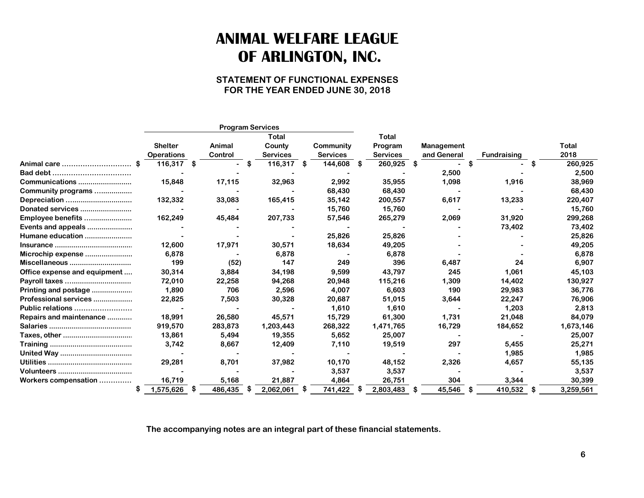### **STATEMENT OF FUNCTIONAL EXPENSES FOR THE YEAR ENDED JUNE 30, 2018**

|                              |                   |      | <b>Program Services</b> |      |           |      |                 |      |                 |                   |    |                    |     |           |
|------------------------------|-------------------|------|-------------------------|------|-----------|------|-----------------|------|-----------------|-------------------|----|--------------------|-----|-----------|
|                              |                   |      |                         |      | Total     |      |                 |      | Total           |                   |    |                    |     |           |
|                              | <b>Shelter</b>    |      | Animal                  |      | County    |      | Community       |      | Program         | <b>Management</b> |    |                    |     | Total     |
|                              | <b>Operations</b> |      | Control                 |      | Services  |      | <b>Services</b> |      | <b>Services</b> | and General       |    | <b>Fundraising</b> |     | 2018      |
| Animal care                  | 116,317 \$        |      |                         | - \$ | 116,317   | - \$ | 144,608         | - 36 | 260,925         | \$                | S  |                    | -S  | 260,925   |
|                              |                   |      |                         |      |           |      |                 |      |                 | 2,500             |    |                    |     | 2,500     |
| Communications               | 15,848            |      | 17,115                  |      | 32,963    |      | 2,992           |      | 35,955          | 1,098             |    | 1,916              |     | 38,969    |
| Community programs           |                   |      |                         |      |           |      | 68,430          |      | 68,430          |                   |    |                    |     | 68,430    |
| Depreciation                 | 132,332           |      | 33,083                  |      | 165,415   |      | 35,142          |      | 200,557         | 6,617             |    | 13,233             |     | 220,407   |
| Donated services             |                   |      |                         |      |           |      | 15,760          |      | 15,760          |                   |    |                    |     | 15,760    |
| Employee benefits            | 162,249           |      | 45,484                  |      | 207,733   |      | 57,546          |      | 265,279         | 2,069             |    | 31,920             |     | 299,268   |
| Events and appeals           |                   |      |                         |      |           |      |                 |      |                 |                   |    | 73,402             |     | 73,402    |
| Humane education             |                   |      |                         |      |           |      | 25,826          |      | 25,826          |                   |    |                    |     | 25,826    |
|                              | 12,600            |      | 17,971                  |      | 30,571    |      | 18,634          |      | 49,205          |                   |    |                    |     | 49,205    |
| Microchip expense            | 6,878             |      |                         |      | 6,878     |      |                 |      | 6,878           |                   |    |                    |     | 6,878     |
| Miscellaneous                | 199               |      | (52)                    |      | 147       |      | 249             |      | 396             | 6,487             |    | 24                 |     | 6,907     |
| Office expense and equipment | 30,314            |      | 3,884                   |      | 34,198    |      | 9,599           |      | 43,797          | 245               |    | 1,061              |     | 45,103    |
| Payroll taxes                | 72,010            |      | 22,258                  |      | 94,268    |      | 20,948          |      | 115,216         | 1,309             |    | 14,402             |     | 130,927   |
| Printing and postage         | 1,890             |      | 706                     |      | 2,596     |      | 4,007           |      | 6,603           | 190               |    | 29,983             |     | 36,776    |
| Professional services        | 22,825            |      | 7,503                   |      | 30,328    |      | 20,687          |      | 51,015          | 3,644             |    | 22,247             |     | 76,906    |
| Public relations             |                   |      |                         |      |           |      | 1,610           |      | 1,610           |                   |    | 1,203              |     | 2,813     |
| Repairs and maintenance      | 18,991            |      | 26,580                  |      | 45,571    |      | 15,729          |      | 61,300          | 1,731             |    | 21,048             |     | 84,079    |
|                              | 919,570           |      | 283,873                 |      | 1,203,443 |      | 268,322         |      | 1,471,765       | 16,729            |    | 184,652            |     | 1,673,146 |
|                              | 13,861            |      | 5,494                   |      | 19,355    |      | 5,652           |      | 25,007          |                   |    |                    |     | 25,007    |
|                              | 3,742             |      | 8,667                   |      | 12,409    |      | 7,110           |      | 19,519          | 297               |    | 5,455              |     | 25,271    |
|                              |                   |      |                         |      |           |      |                 |      |                 |                   |    | 1,985              |     | 1,985     |
|                              | 29,281            |      | 8.701                   |      | 37,982    |      | 10,170          |      | 48,152          | 2,326             |    | 4,657              |     | 55,135    |
|                              |                   |      |                         |      |           |      | 3,537           |      | 3,537           |                   |    |                    |     | 3,537     |
| Workers compensation         | 16,719            |      | 5,168                   |      | 21,887    |      | 4,864           |      | 26,751          | 304               |    | 3,344              |     | 30,399    |
|                              | 1,575,626         | - \$ | 486,435                 | -56  | 2,062,061 | \$   | 741,422         |      | 2,803,483       | \$<br>45,546      | \$ | 410,532            | -\$ | 3,259,561 |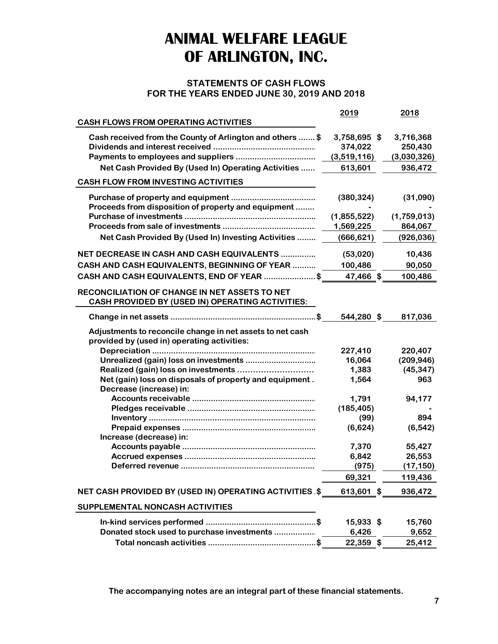### **STATEMENTS OF CASH FLOWS FOR THE YEARS ENDED JUNE 30, 2019 AND 2018**

|                                                                                                          | 2019              | 2018        |
|----------------------------------------------------------------------------------------------------------|-------------------|-------------|
| <b>CASH FLOWS FROM OPERATING ACTIVITIES</b>                                                              |                   |             |
| Cash received from the County of Arlington and others  \$                                                | 3,758,695 \$      | 3,716,368   |
|                                                                                                          | 374,022           | 250,430     |
|                                                                                                          | (3,519,116)       | (3,030,326) |
| Net Cash Provided By (Used In) Operating Activities                                                      | 613,601           | 936,472     |
| <b>CASH FLOW FROM INVESTING ACTIVITIES</b>                                                               |                   |             |
|                                                                                                          | (380, 324)        | (31,090)    |
| Proceeds from disposition of property and equipment                                                      |                   |             |
|                                                                                                          | (1,855,522)       | (1,759,013) |
|                                                                                                          | 1,569,225         | 864,067     |
| Net Cash Provided By (Used In) Investing Activities                                                      | (666, 621)        | (926, 036)  |
| NET DECREASE IN CASH AND CASH EQUIVALENTS                                                                | (53,020)          | 10,436      |
|                                                                                                          |                   |             |
| CASH AND CASH EQUIVALENTS, BEGINNING OF YEAR                                                             | 100,486           | 90,050      |
| CASH AND CASH EQUIVALENTS, END OF YEAR \$                                                                | 47,466 \$         | 100,486     |
| <b>RECONCILIATION OF CHANGE IN NET ASSETS TO NET</b><br>CASH PROVIDED BY (USED IN) OPERATING ACTIVITIES: |                   |             |
|                                                                                                          | 544,280 \$        | 817,036     |
| Adjustments to reconcile change in net assets to net cash                                                |                   |             |
| provided by (used in) operating activities:                                                              |                   | 220,407     |
| Unrealized (gain) loss on investments                                                                    | 227,410<br>16,064 | (209, 946)  |
|                                                                                                          | 1,383             | (45, 347)   |
| Net (gain) loss on disposals of property and equipment.                                                  | 1,564             | 963         |
| Decrease (increase) in:                                                                                  |                   |             |
|                                                                                                          | 1,791             | 94,177      |
|                                                                                                          | (185, 405)        |             |
|                                                                                                          | (99)              | 894         |
|                                                                                                          | (6,624)           | (6, 542)    |
| Increase (decrease) in:                                                                                  |                   |             |
|                                                                                                          | 7,370             | 55,427      |
|                                                                                                          | 6,842             | 26,553      |
|                                                                                                          | (975)             | (17, 150)   |
|                                                                                                          | 69,321            | 119,436     |
| <b>NET CASH PROVIDED BY (USED IN) OPERATING ACTIVITIES \$</b>                                            | 613,601 \$        | 936,472     |
| SUPPLEMENTAL NONCASH ACTIVITIES                                                                          |                   |             |
|                                                                                                          | 15,933 \$         | 15,760      |
| Donated stock used to purchase investments                                                               | 6,426             | 9,652       |
|                                                                                                          | 22,359 \$         | 25,412      |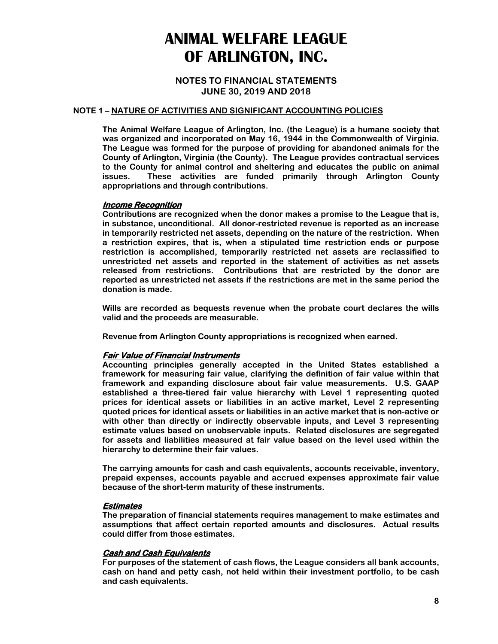**NOTES TO FINANCIAL STATEMENTS JUNE 30, 2019 AND 2018**

#### **NOTE 1 – NATURE OF ACTIVITIES AND SIGNIFICANT ACCOUNTING POLICIES**

**The Animal Welfare League of Arlington, Inc. (the League) is a humane society that was organized and incorporated on May 16, 1944 in the Commonwealth of Virginia. The League was formed for the purpose of providing for abandoned animals for the County of Arlington, Virginia (the County). The League provides contractual services to the County for animal control and sheltering and educates the public on animal issues. These activities are funded primarily through Arlington County appropriations and through contributions.** 

#### **Income Recognition**

**Contributions are recognized when the donor makes a promise to the League that is, in substance, unconditional. All donor-restricted revenue is reported as an increase in temporarily restricted net assets, depending on the nature of the restriction. When a restriction expires, that is, when a stipulated time restriction ends or purpose restriction is accomplished, temporarily restricted net assets are reclassified to unrestricted net assets and reported in the statement of activities as net assets released from restrictions. Contributions that are restricted by the donor are reported as unrestricted net assets if the restrictions are met in the same period the donation is made.** 

**Wills are recorded as bequests revenue when the probate court declares the wills valid and the proceeds are measurable.** 

**Revenue from Arlington County appropriations is recognized when earned.** 

#### **Fair Value of Financial Instruments**

**Accounting principles generally accepted in the United States established a framework for measuring fair value, clarifying the definition of fair value within that framework and expanding disclosure about fair value measurements. U.S. GAAP established a three-tiered fair value hierarchy with Level 1 representing quoted prices for identical assets or liabilities in an active market, Level 2 representing quoted prices for identical assets or liabilities in an active market that is non-active or with other than directly or indirectly observable inputs, and Level 3 representing estimate values based on unobservable inputs. Related disclosures are segregated for assets and liabilities measured at fair value based on the level used within the hierarchy to determine their fair values.** 

**The carrying amounts for cash and cash equivalents, accounts receivable, inventory, prepaid expenses, accounts payable and accrued expenses approximate fair value because of the short-term maturity of these instruments.** 

#### **Estimates**

**The preparation of financial statements requires management to make estimates and assumptions that affect certain reported amounts and disclosures. Actual results could differ from those estimates.** 

#### **Cash and Cash Equivalents**

**For purposes of the statement of cash flows, the League considers all bank accounts, cash on hand and petty cash, not held within their investment portfolio, to be cash and cash equivalents.**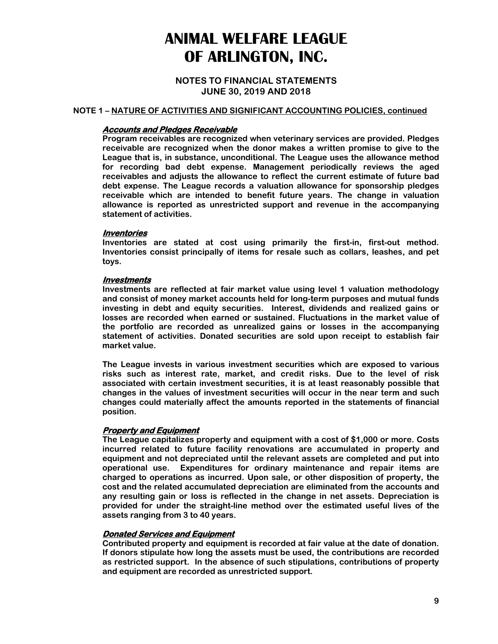#### **NOTES TO FINANCIAL STATEMENTS JUNE 30, 2019 AND 2018**

#### **NOTE 1 – NATURE OF ACTIVITIES AND SIGNIFICANT ACCOUNTING POLICIES, continued**

#### **Accounts and Pledges Receivable**

**Program receivables are recognized when veterinary services are provided. Pledges receivable are recognized when the donor makes a written promise to give to the League that is, in substance, unconditional. The League uses the allowance method for recording bad debt expense. Management periodically reviews the aged receivables and adjusts the allowance to reflect the current estimate of future bad debt expense. The League records a valuation allowance for sponsorship pledges receivable which are intended to benefit future years. The change in valuation allowance is reported as unrestricted support and revenue in the accompanying statement of activities.** 

#### **Inventories**

**Inventories are stated at cost using primarily the first-in, first-out method. Inventories consist principally of items for resale such as collars, leashes, and pet toys.** 

#### **Investments**

**Investments are reflected at fair market value using level 1 valuation methodology and consist of money market accounts held for long-term purposes and mutual funds investing in debt and equity securities. Interest, dividends and realized gains or losses are recorded when earned or sustained. Fluctuations in the market value of the portfolio are recorded as unrealized gains or losses in the accompanying statement of activities. Donated securities are sold upon receipt to establish fair market value.** 

**The League invests in various investment securities which are exposed to various risks such as interest rate, market, and credit risks. Due to the level of risk associated with certain investment securities, it is at least reasonably possible that changes in the values of investment securities will occur in the near term and such changes could materially affect the amounts reported in the statements of financial position.** 

#### **Property and Equipment**

**The League capitalizes property and equipment with a cost of \$1,000 or more. Costs incurred related to future facility renovations are accumulated in property and equipment and not depreciated until the relevant assets are completed and put into operational use. Expenditures for ordinary maintenance and repair items are charged to operations as incurred. Upon sale, or other disposition of property, the cost and the related accumulated depreciation are eliminated from the accounts and any resulting gain or loss is reflected in the change in net assets. Depreciation is provided for under the straight-line method over the estimated useful lives of the assets ranging from 3 to 40 years.** 

#### **Donated Services and Equipment**

**Contributed property and equipment is recorded at fair value at the date of donation. If donors stipulate how long the assets must be used, the contributions are recorded as restricted support. In the absence of such stipulations, contributions of property and equipment are recorded as unrestricted support.**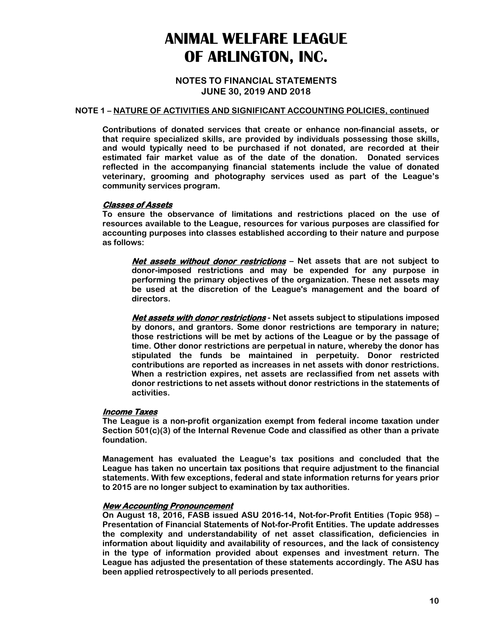**NOTES TO FINANCIAL STATEMENTS JUNE 30, 2019 AND 2018**

#### **NOTE 1 – NATURE OF ACTIVITIES AND SIGNIFICANT ACCOUNTING POLICIES, continued**

**Contributions of donated services that create or enhance non-financial assets, or that require specialized skills, are provided by individuals possessing those skills, and would typically need to be purchased if not donated, are recorded at their estimated fair market value as of the date of the donation. Donated services reflected in the accompanying financial statements include the value of donated veterinary, grooming and photography services used as part of the League's community services program.** 

#### **Classes of Assets**

**To ensure the observance of limitations and restrictions placed on the use of resources available to the League, resources for various purposes are classified for accounting purposes into classes established according to their nature and purpose as follows:** 

**Net assets without donor restrictions – Net assets that are not subject to donor-imposed restrictions and may be expended for any purpose in performing the primary objectives of the organization. These net assets may be used at the discretion of the League's management and the board of directors.** 

**Net assets with donor restrictions - Net assets subject to stipulations imposed by donors, and grantors. Some donor restrictions are temporary in nature; those restrictions will be met by actions of the League or by the passage of time. Other donor restrictions are perpetual in nature, whereby the donor has stipulated the funds be maintained in perpetuity. Donor restricted contributions are reported as increases in net assets with donor restrictions. When a restriction expires, net assets are reclassified from net assets with donor restrictions to net assets without donor restrictions in the statements of activities.** 

#### **Income Taxes**

**The League is a non-profit organization exempt from federal income taxation under Section 501(c)(3) of the Internal Revenue Code and classified as other than a private foundation.** 

**Management has evaluated the League's tax positions and concluded that the League has taken no uncertain tax positions that require adjustment to the financial statements. With few exceptions, federal and state information returns for years prior to 2015 are no longer subject to examination by tax authorities.** 

#### **New Accounting Pronouncement**

**On August 18, 2016, FASB issued ASU 2016-14, Not-for-Profit Entities (Topic 958) – Presentation of Financial Statements of Not-for-Profit Entities. The update addresses the complexity and understandability of net asset classification, deficiencies in information about liquidity and availability of resources, and the lack of consistency in the type of information provided about expenses and investment return. The League has adjusted the presentation of these statements accordingly. The ASU has been applied retrospectively to all periods presented.**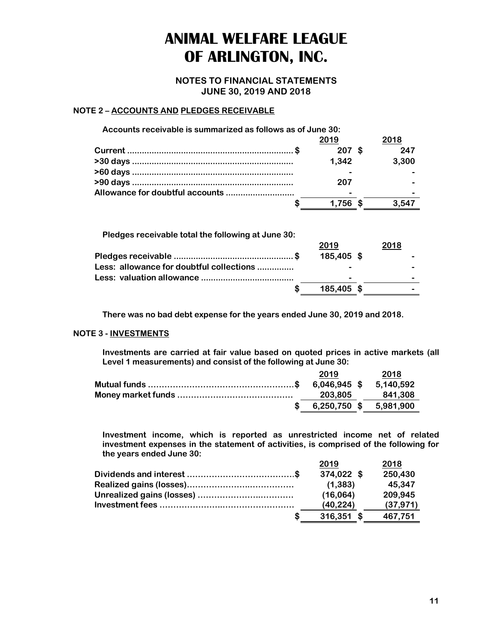**NOTES TO FINANCIAL STATEMENTS JUNE 30, 2019 AND 2018**

#### **NOTE 2 – ACCOUNTS AND PLEDGES RECEIVABLE**

| Accounts receivable is summarized as follows as of June 30: |       |       |
|-------------------------------------------------------------|-------|-------|
|                                                             | 2019  | 2018  |
|                                                             | 207   | 247   |
|                                                             | 1,342 | 3,300 |
|                                                             |       |       |
|                                                             | 207   |       |
|                                                             |       |       |
|                                                             | 1.756 |       |

| Pledges receivable total the following at June 30: |            |                          |
|----------------------------------------------------|------------|--------------------------|
|                                                    | 2019       | 2018                     |
|                                                    | 185,405 \$ |                          |
| Less: allowance for doubtful collections           |            |                          |
|                                                    | -          | $\overline{\phantom{0}}$ |
|                                                    | 185,405 \$ | -                        |
|                                                    |            |                          |

**There was no bad debt expense for the years ended June 30, 2019 and 2018.** 

#### **NOTE 3 - INVESTMENTS**

**Investments are carried at fair value based on quoted prices in active markets (all Level 1 measurements) and consist of the following at June 30:** 

| 2019    | 2018                   |
|---------|------------------------|
|         |                        |
| 203.805 | 841.308                |
|         | 6,250,750 \$ 5,981,900 |

**Investment income, which is reported as unrestricted income net of related investment expenses in the statement of activities, is comprised of the following for the years ended June 30:**

|   | 2019         | 2018      |
|---|--------------|-----------|
|   | 374,022 \$   | 250,430   |
|   | (1, 383)     | 45.347    |
|   | (16,064)     | 209,945   |
|   | (40, 224)    | (37, 971) |
| S | $316,351$ \$ | 467.751   |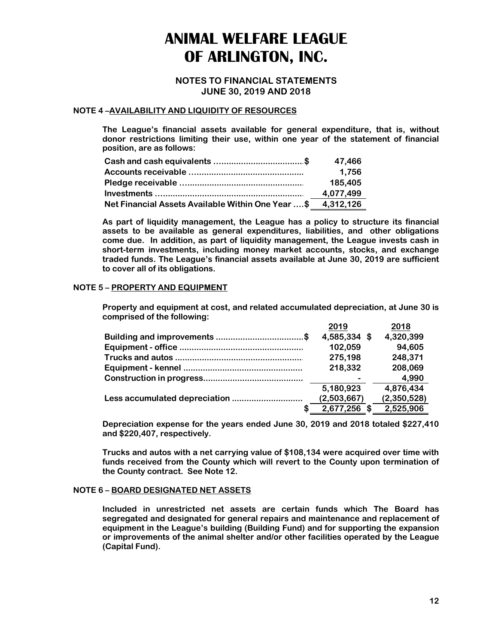#### **NOTES TO FINANCIAL STATEMENTS JUNE 30, 2019 AND 2018**

#### **NOTE 4 –AVAILABILITY AND LIQUIDITY OF RESOURCES**

**The League's financial assets available for general expenditure, that is, without donor restrictions limiting their use, within one year of the statement of financial position, are as follows:** 

|                                                             | 47,466    |
|-------------------------------------------------------------|-----------|
|                                                             | 1,756     |
|                                                             | 185,405   |
|                                                             | 4,077,499 |
| Net Financial Assets Available Within One Year \$ 4,312,126 |           |

**As part of liquidity management, the League has a policy to structure its financial assets to be available as general expenditures, liabilities, and other obligations come due. In addition, as part of liquidity management, the League invests cash in short-term investments, including money market accounts, stocks, and exchange traded funds. The League's financial assets available at June 30, 2019 are sufficient to cover all of its obligations.** 

#### **NOTE 5 – PROPERTY AND EQUIPMENT**

**Property and equipment at cost, and related accumulated depreciation, at June 30 is comprised of the following:** 

| 2019         | 2018        |
|--------------|-------------|
| 4,585,334 \$ | 4,320,399   |
| 102,059      | 94,605      |
| 275,198      | 248,371     |
| 218,332      | 208,069     |
|              | 4,990       |
| 5,180,923    | 4,876,434   |
| (2,503,667)  | (2,350,528) |
| 2,677,256    | 2,525,906   |

**Depreciation expense for the years ended June 30, 2019 and 2018 totaled \$227,410 and \$220,407, respectively.** 

**Trucks and autos with a net carrying value of \$108,134 were acquired over time with funds received from the County which will revert to the County upon termination of the County contract. See Note 12.** 

#### **NOTE 6 – BOARD DESIGNATED NET ASSETS**

**Included in unrestricted net assets are certain funds which The Board has segregated and designated for general repairs and maintenance and replacement of equipment in the League's building (Building Fund) and for supporting the expansion or improvements of the animal shelter and/or other facilities operated by the League (Capital Fund).**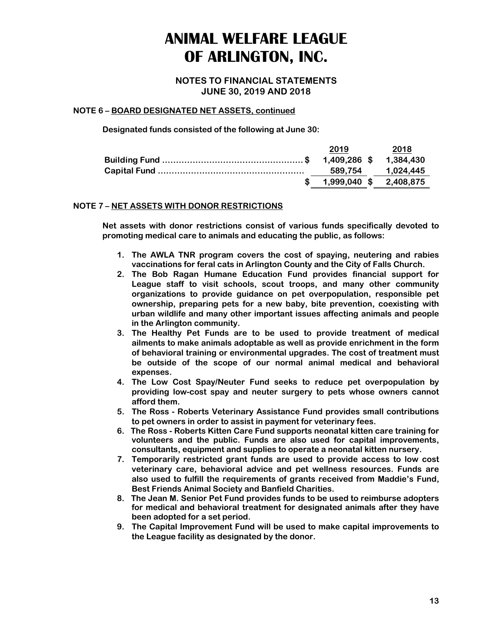**NOTES TO FINANCIAL STATEMENTS JUNE 30, 2019 AND 2018**

#### **NOTE 6 – BOARD DESIGNATED NET ASSETS, continued**

**Designated funds consisted of the following at June 30:** 

| 2019                   | 2018      |
|------------------------|-----------|
|                        | 1.384.430 |
| 589.754                | 1.024.445 |
| 1,999,040 \$ 2,408,875 |           |

#### **NOTE 7 – NET ASSETS WITH DONOR RESTRICTIONS**

**Net assets with donor restrictions consist of various funds specifically devoted to promoting medical care to animals and educating the public, as follows:** 

- **1. The AWLA TNR program covers the cost of spaying, neutering and rabies vaccinations for feral cats in Arlington County and the City of Falls Church.**
- **2. The Bob Ragan Humane Education Fund provides financial support for League staff to visit schools, scout troops, and many other community organizations to provide guidance on pet overpopulation, responsible pet ownership, preparing pets for a new baby, bite prevention, coexisting with urban wildlife and many other important issues affecting animals and people in the Arlington community.**
- **3. The Healthy Pet Funds are to be used to provide treatment of medical ailments to make animals adoptable as well as provide enrichment in the form of behavioral training or environmental upgrades. The cost of treatment must be outside of the scope of our normal animal medical and behavioral expenses.**
- **4. The Low Cost Spay/Neuter Fund seeks to reduce pet overpopulation by providing low-cost spay and neuter surgery to pets whose owners cannot afford them.**
- **5. The Ross Roberts Veterinary Assistance Fund provides small contributions to pet owners in order to assist in payment for veterinary fees.**
- **6. The Ross Roberts Kitten Care Fund supports neonatal kitten care training for volunteers and the public. Funds are also used for capital improvements, consultants, equipment and supplies to operate a neonatal kitten nursery.**
- **7. Temporarily restricted grant funds are used to provide access to low cost veterinary care, behavioral advice and pet wellness resources. Funds are also used to fulfill the requirements of grants received from Maddie's Fund, Best Friends Animal Society and Banfield Charities.**
- **8. The Jean M. Senior Pet Fund provides funds to be used to reimburse adopters for medical and behavioral treatment for designated animals after they have been adopted for a set period.**
- **9. The Capital Improvement Fund will be used to make capital improvements to the League facility as designated by the donor.**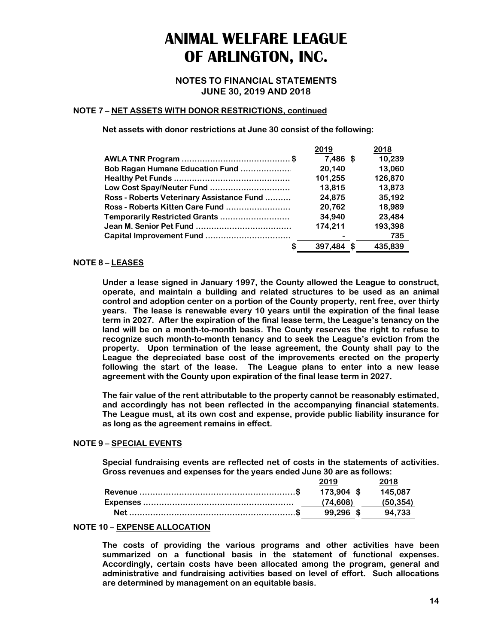**NOTES TO FINANCIAL STATEMENTS JUNE 30, 2019 AND 2018**

#### **NOTE 7 – NET ASSETS WITH DONOR RESTRICTIONS, continued**

**Net assets with donor restrictions at June 30 consist of the following:** 

|                                           | 2019       | 2018    |
|-------------------------------------------|------------|---------|
|                                           | $7.486$ \$ | 10.239  |
| Bob Ragan Humane Education Fund           | 20.140     | 13,060  |
|                                           | 101,255    | 126,870 |
| Low Cost Spay/Neuter Fund                 | 13,815     | 13,873  |
| Ross - Roberts Veterinary Assistance Fund | 24,875     | 35,192  |
| Ross - Roberts Kitten Care Fund           | 20,762     | 18,989  |
| Temporarily Restricted Grants             | 34,940     | 23,484  |
|                                           | 174.211    | 193,398 |
|                                           |            | 735     |
|                                           | 397,484    | 435,839 |

#### **NOTE 8 – LEASES**

**Under a lease signed in January 1997, the County allowed the League to construct, operate, and maintain a building and related structures to be used as an animal control and adoption center on a portion of the County property, rent free, over thirty years. The lease is renewable every 10 years until the expiration of the final lease term in 2027. After the expiration of the final lease term, the League's tenancy on the land will be on a month-to-month basis. The County reserves the right to refuse to recognize such month-to-month tenancy and to seek the League's eviction from the property. Upon termination of the lease agreement, the County shall pay to the League the depreciated base cost of the improvements erected on the property following the start of the lease. The League plans to enter into a new lease agreement with the County upon expiration of the final lease term in 2027.** 

**The fair value of the rent attributable to the property cannot be reasonably estimated, and accordingly has not been reflected in the accompanying financial statements. The League must, at its own cost and expense, provide public liability insurance for as long as the agreement remains in effect.** 

#### **NOTE 9 – SPECIAL EVENTS**

**Special fundraising events are reflected net of costs in the statements of activities. Gross revenues and expenses for the years ended June 30 are as follows:** 

| 2019       | 2018     |
|------------|----------|
| 173.904 \$ | 145.087  |
| (74.608)   | (50.354) |
| 99.296 \$  | 94.733   |

#### **NOTE 10 – EXPENSE ALLOCATION**

**The costs of providing the various programs and other activities have been summarized on a functional basis in the statement of functional expenses. Accordingly, certain costs have been allocated among the program, general and administrative and fundraising activities based on level of effort. Such allocations are determined by management on an equitable basis.**